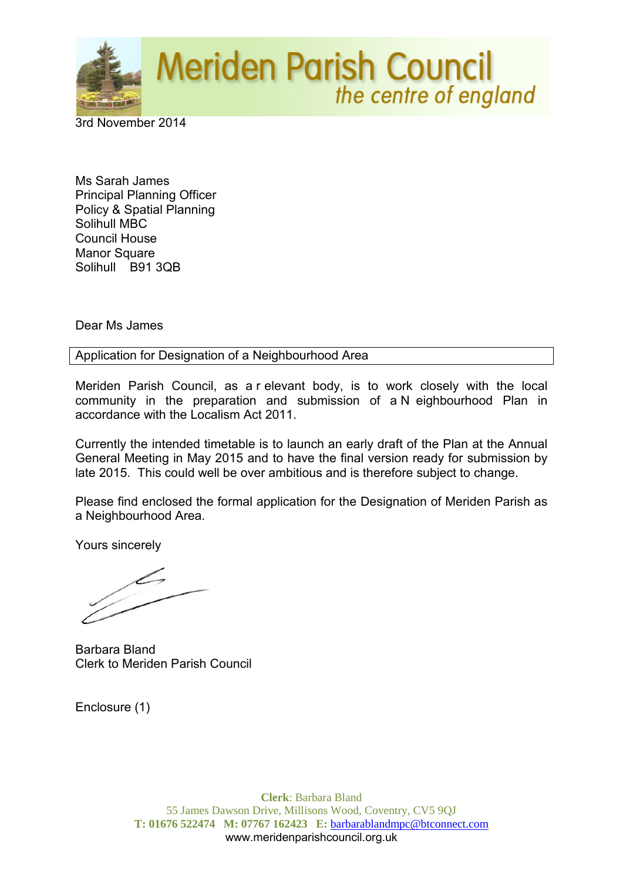

3rd November 2014

Ms Sarah James Principal Planning Officer Policy & Spatial Planning Solihull MBC Council House Manor Square Solihull B91 3QB

Dear Ms James

Application for Designation of a Neighbourhood Area

Meriden Parish Council, as a r elevant body, is to work closely with the local community in the preparation and submission of a N eighbourhood Plan in accordance with the Localism Act 2011.

Currently the intended timetable is to launch an early draft of the Plan at the Annual General Meeting in May 2015 and to have the final version ready for submission by late 2015. This could well be over ambitious and is therefore subject to change.

Please find enclosed the formal application for the Designation of Meriden Parish as a Neighbourhood Area.

Yours sincerely

Barbara Bland Clerk to Meriden Parish Council

Enclosure (1)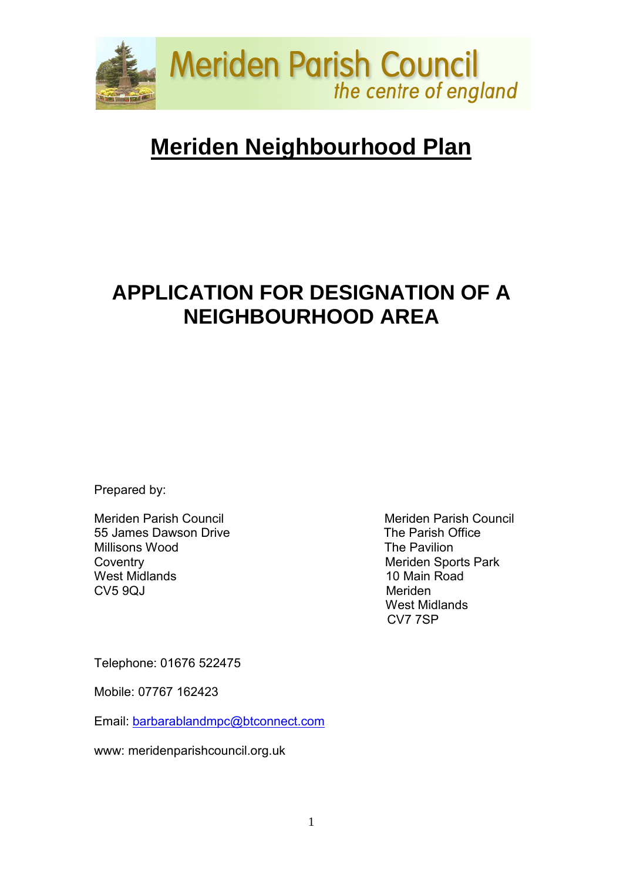

# **Meriden Neighbourhood Plan**

## **APPLICATION FOR DESIGNATION OF A NEIGHBOURHOOD AREA**

Prepared by:

Meriden Parish Council<br>
55 James Dawson Drive<br>
The Parish Office 55 James Dawson Drive Millisons Wood **The Pavilion** Coventry **Meriden** Sports Park West Midlands **10 Main Road**<br>CV5 90J Meriden  $CV5$  90J

 West Midlands CV7 7SP

Telephone: 01676 522475

Mobile: 07767 162423

Email: [barbarablandmpc@btconnect.com](mailto:barbarablandmpc@btconnect.com)

www: meridenparishcouncil.org.uk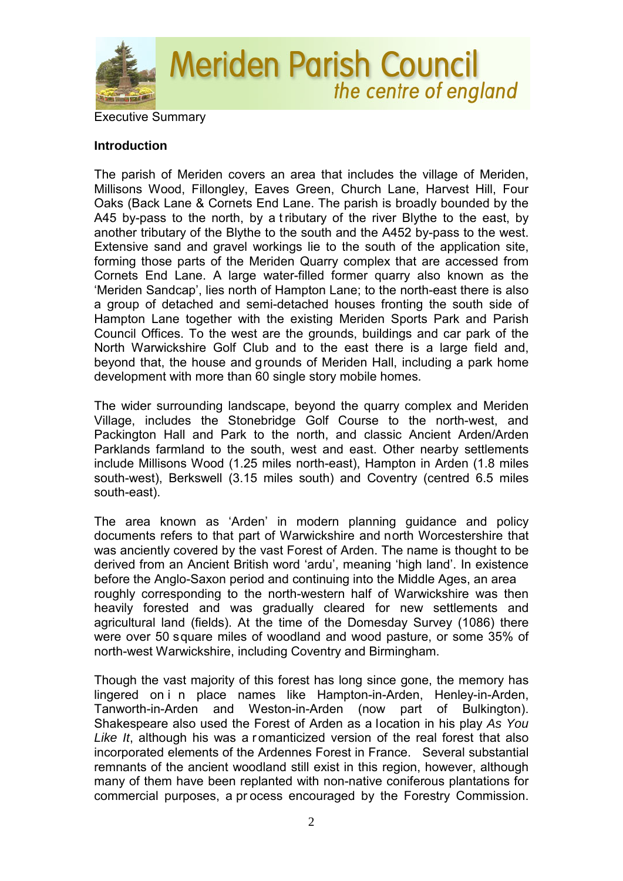

#### **Introduction**

The parish of Meriden covers an area that includes the village of Meriden, Millisons Wood, Fillongley, Eaves Green, Church Lane, Harvest Hill, Four Oaks (Back Lane & Cornets End Lane. The parish is broadly bounded by the A45 by-pass to the north, by a t ributary of the river Blythe to the east, by another tributary of the Blythe to the south and the A452 by-pass to the west. Extensive sand and gravel workings lie to the south of the application site, forming those parts of the Meriden Quarry complex that are accessed from Cornets End Lane. A large water-filled former quarry also known as the 'Meriden Sandcap', lies north of Hampton Lane; to the north-east there is also a group of detached and semi-detached houses fronting the south side of Hampton Lane together with the existing Meriden Sports Park and Parish Council Offices. To the west are the grounds, buildings and car park of the North Warwickshire Golf Club and to the east there is a large field and, beyond that, the house and grounds of Meriden Hall, including a park home development with more than 60 single story mobile homes.

The wider surrounding landscape, beyond the quarry complex and Meriden Village, includes the Stonebridge Golf Course to the north-west, and Packington Hall and Park to the north, and classic Ancient Arden/Arden Parklands farmland to the south, west and east. Other nearby settlements include Millisons Wood (1.25 miles north-east), Hampton in Arden (1.8 miles south-west), Berkswell (3.15 miles south) and Coventry (centred 6.5 miles south-east).

The area known as 'Arden' in modern planning guidance and policy documents refers to that part of Warwickshire and north Worcestershire that was anciently covered by the vast Forest of Arden. The name is thought to be derived from an Ancient British word 'ardu', meaning 'high land'. In existence before the Anglo-Saxon period and continuing into the Middle Ages, an area roughly corresponding to the north-western half of Warwickshire was then heavily forested and was gradually cleared for new settlements and agricultural land (fields). At the time of the Domesday Survey (1086) there were over 50 square miles of woodland and wood pasture, or some 35% of north-west Warwickshire, including Coventry and Birmingham.

Though the vast majority of this forest has long since gone, the memory has lingered on i n place names like Hampton-in-Arden, Henley-in-Arden, Tanworth-in-Arden and Weston-in-Arden (now part of Bulkington). Shakespeare also used the Forest of Arden as a location in his play *As You*  Like It, although his was a romanticized version of the real forest that also incorporated elements of the Ardennes Forest in France. Several substantial remnants of the ancient woodland still exist in this region, however, although many of them have been replanted with non-native coniferous plantations for commercial purposes, a pr ocess encouraged by the Forestry Commission.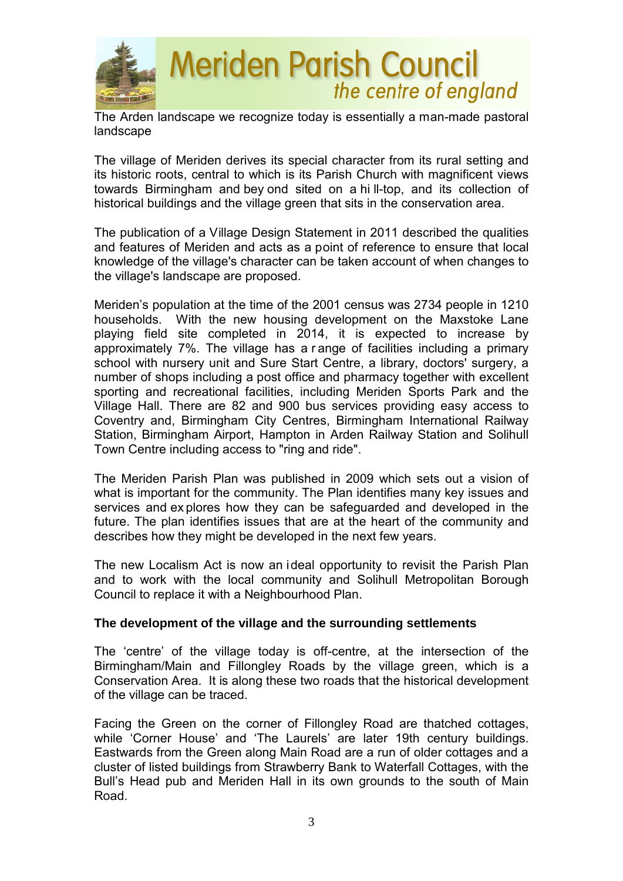

The Arden landscape we recognize today is essentially a man-made pastoral landscape

The village of Meriden derives its special character from its rural setting and its historic roots, central to which is its Parish Church with magnificent views towards Birmingham and bey ond sited on a hi ll-top, and its collection of historical buildings and the village green that sits in the conservation area.

The publication of a Village Design Statement in 2011 described the qualities and features of Meriden and acts as a point of reference to ensure that local knowledge of the village's character can be taken account of when changes to the village's landscape are proposed.

Meriden's population at the time of the 2001 census was 2734 people in 1210 households. With the new housing development on the Maxstoke Lane playing field site completed in 2014, it is expected to increase by approximately 7%. The village has a r ange of facilities including a primary school with nursery unit and Sure Start Centre, a library, doctors' surgery, a number of shops including a post office and pharmacy together with excellent sporting and recreational facilities, including Meriden Sports Park and the Village Hall. There are 82 and 900 bus services providing easy access to Coventry and, Birmingham City Centres, Birmingham International Railway Station, Birmingham Airport, Hampton in Arden Railway Station and Solihull Town Centre including access to "ring and ride".

The Meriden Parish Plan was published in 2009 which sets out a vision of what is important for the community. The Plan identifies many key issues and services and ex plores how they can be safeguarded and developed in the future. The plan identifies issues that are at the heart of the community and describes how they might be developed in the next few years.

The new Localism Act is now an ideal opportunity to revisit the Parish Plan and to work with the local community and Solihull Metropolitan Borough Council to replace it with a Neighbourhood Plan.

#### **The development of the village and the surrounding settlements**

The 'centre' of the village today is off-centre, at the intersection of the Birmingham/Main and Fillongley Roads by the village green, which is a Conservation Area. It is along these two roads that the historical development of the village can be traced.

Facing the Green on the corner of Fillongley Road are thatched cottages, while 'Corner House' and 'The Laurels' are later 19th century buildings. Eastwards from the Green along Main Road are a run of older cottages and a cluster of listed buildings from Strawberry Bank to Waterfall Cottages, with the Bull's Head pub and Meriden Hall in its own grounds to the south of Main Road.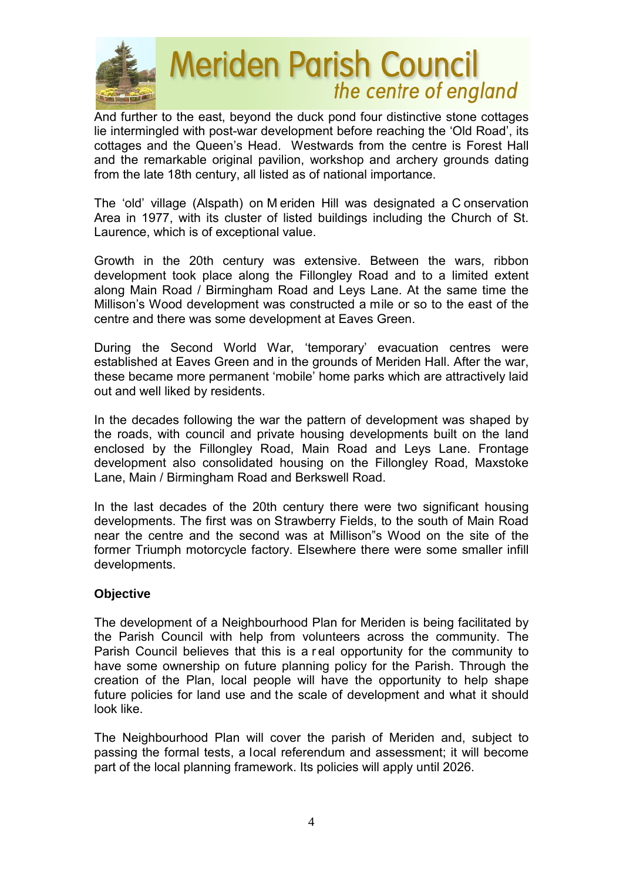

# **Meriden Parish Council** the centre of england

And further to the east, beyond the duck pond four distinctive stone cottages lie intermingled with post-war development before reaching the 'Old Road', its cottages and the Queen's Head. Westwards from the centre is Forest Hall and the remarkable original pavilion, workshop and archery grounds dating from the late 18th century, all listed as of national importance.

The 'old' village (Alspath) on M eriden Hill was designated a C onservation Area in 1977, with its cluster of listed buildings including the Church of St. Laurence, which is of exceptional value.

Growth in the 20th century was extensive. Between the wars, ribbon development took place along the Fillongley Road and to a limited extent along Main Road / Birmingham Road and Leys Lane. At the same time the Millison's Wood development was constructed a mile or so to the east of the centre and there was some development at Eaves Green.

During the Second World War, 'temporary' evacuation centres were established at Eaves Green and in the grounds of Meriden Hall. After the war, these became more permanent 'mobile' home parks which are attractively laid out and well liked by residents.

In the decades following the war the pattern of development was shaped by the roads, with council and private housing developments built on the land enclosed by the Fillongley Road, Main Road and Leys Lane. Frontage development also consolidated housing on the Fillongley Road, Maxstoke Lane, Main / Birmingham Road and Berkswell Road.

In the last decades of the 20th century there were two significant housing developments. The first was on Strawberry Fields, to the south of Main Road near the centre and the second was at Millison"s Wood on the site of the former Triumph motorcycle factory. Elsewhere there were some smaller infill developments.

#### **Objective**

The development of a Neighbourhood Plan for Meriden is being facilitated by the Parish Council with help from volunteers across the community. The Parish Council believes that this is a r eal opportunity for the community to have some ownership on future planning policy for the Parish. Through the creation of the Plan, local people will have the opportunity to help shape future policies for land use and the scale of development and what it should look like.

The Neighbourhood Plan will cover the parish of Meriden and, subject to passing the formal tests, a local referendum and assessment; it will become part of the local planning framework. Its policies will apply until 2026.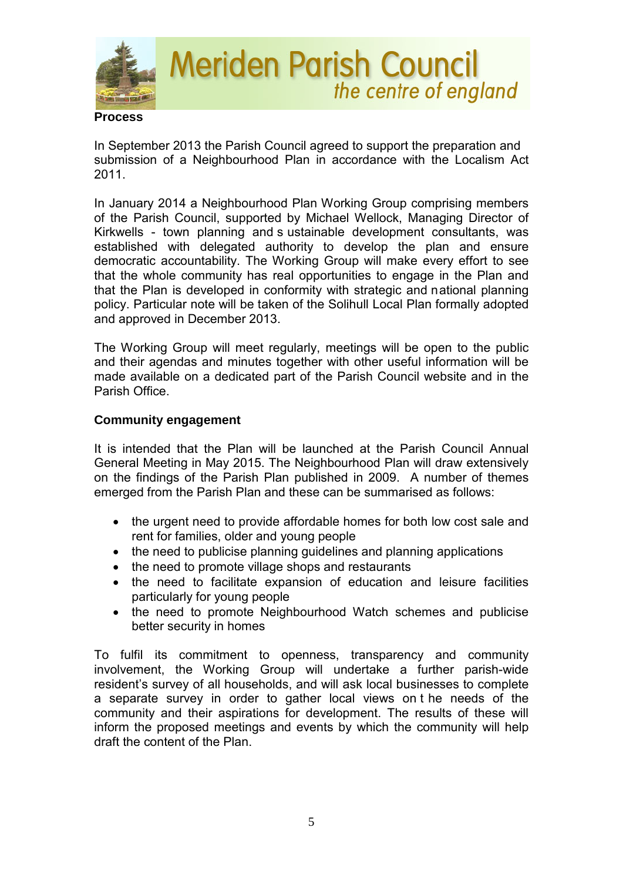

In September 2013 the Parish Council agreed to support the preparation and submission of a Neighbourhood Plan in accordance with the Localism Act 2011.

In January 2014 a Neighbourhood Plan Working Group comprising members of the Parish Council, supported by Michael Wellock, Managing Director of Kirkwells - town planning and s ustainable development consultants, was established with delegated authority to develop the plan and ensure democratic accountability. The Working Group will make every effort to see that the whole community has real opportunities to engage in the Plan and that the Plan is developed in conformity with strategic and national planning policy. Particular note will be taken of the Solihull Local Plan formally adopted and approved in December 2013.

The Working Group will meet regularly, meetings will be open to the public and their agendas and minutes together with other useful information will be made available on a dedicated part of the Parish Council website and in the Parish Office.

#### **Community engagement**

It is intended that the Plan will be launched at the Parish Council Annual General Meeting in May 2015. The Neighbourhood Plan will draw extensively on the findings of the Parish Plan published in 2009. A number of themes emerged from the Parish Plan and these can be summarised as follows:

- the urgent need to provide affordable homes for both low cost sale and rent for families, older and young people
- the need to publicise planning guidelines and planning applications
- the need to promote village shops and restaurants
- the need to facilitate expansion of education and leisure facilities particularly for young people
- the need to promote Neighbourhood Watch schemes and publicise better security in homes

To fulfil its commitment to openness, transparency and community involvement, the Working Group will undertake a further parish-wide resident's survey of all households, and will ask local businesses to complete a separate survey in order to gather local views on t he needs of the community and their aspirations for development. The results of these will inform the proposed meetings and events by which the community will help draft the content of the Plan.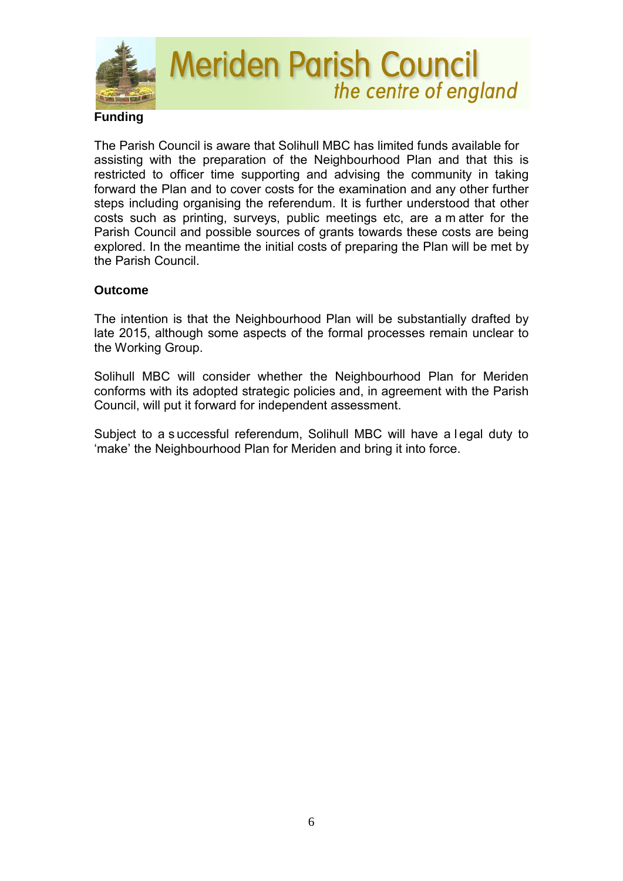

The Parish Council is aware that Solihull MBC has limited funds available for assisting with the preparation of the Neighbourhood Plan and that this is restricted to officer time supporting and advising the community in taking forward the Plan and to cover costs for the examination and any other further steps including organising the referendum. It is further understood that other costs such as printing, surveys, public meetings etc, are a m atter for the Parish Council and possible sources of grants towards these costs are being explored. In the meantime the initial costs of preparing the Plan will be met by the Parish Council.

#### **Outcome**

The intention is that the Neighbourhood Plan will be substantially drafted by late 2015, although some aspects of the formal processes remain unclear to the Working Group.

Solihull MBC will consider whether the Neighbourhood Plan for Meriden conforms with its adopted strategic policies and, in agreement with the Parish Council, will put it forward for independent assessment.

Subject to a s uccessful referendum, Solihull MBC will have a l egal duty to 'make' the Neighbourhood Plan for Meriden and bring it into force.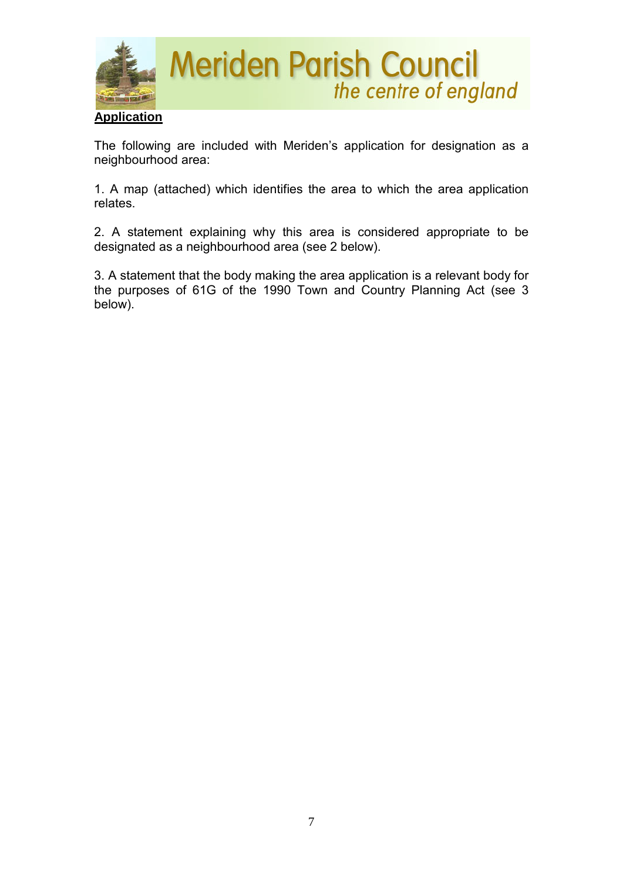

The following are included with Meriden's application for designation as a neighbourhood area:

1. A map (attached) which identifies the area to which the area application relates.

2. A statement explaining why this area is considered appropriate to be designated as a neighbourhood area (see 2 below).

3. A statement that the body making the area application is a relevant body for the purposes of 61G of the 1990 Town and Country Planning Act (see 3 below).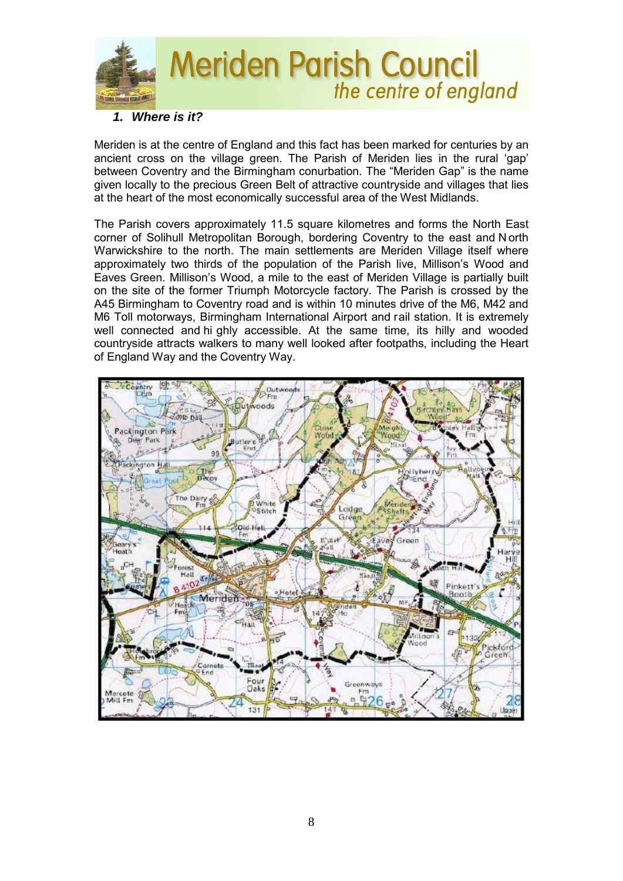

#### *1. Where is it?*

Meriden is at the centre of England and this fact has been marked for centuries by an ancient cross on the village green. The Parish of Meriden lies in the rural 'gap' between Coventry and the Birmingham conurbation. The "Meriden Gap" is the name given locally to the precious Green Belt of attractive countryside and villages that lies at the heart of the most economically successful area of the West Midlands.

The Parish covers approximately 11.5 square kilometres and forms the North East corner of Solihull Metropolitan Borough, bordering Coventry to the east and N orth Warwickshire to the north. The main settlements are Meriden Village itself where approximately two thirds of the population of the Parish live, Millison's Wood and Eaves Green. Millison's Wood, a mile to the east of Meriden Village is partially built on the site of the former Triumph Motorcycle factory. The Parish is crossed by the A45 Birmingham to Coventry road and is within 10 minutes drive of the M6, M42 and M6 Toll motorways, Birmingham International Airport and rail station. It is extremely well connected and hi ghly accessible. At the same time, its hilly and wooded countryside attracts walkers to many well looked after footpaths, including the Heart of England Way and the Coventry Way.